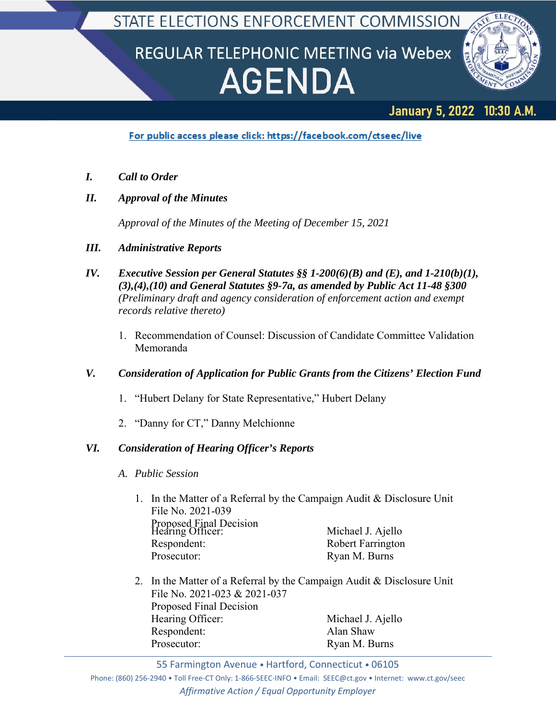## STATE ELECTIONS ENFORCEMENT COMMISSION

# REGULAR TELEPHONIC MEETING via Webex **AGENDA**



## January 5, 2022 10:30 A.M.

For public access please click: https://facebook.com/ctseec/live

- *I. Call to Order*
- *II. Approval of the Minutes*

*Approval of the Minutes of the Meeting of December 15, 2021*

- *III. Administrative Reports*
- *IV. Executive Session per General Statutes §§ 1-200(6)(B) and (E), and 1-210(b)(1), (3),(4),(10) and General Statutes §9-7a, as amended by Public Act 11-48 §300 (Preliminary draft and agency consideration of enforcement action and exempt records relative thereto)*
	- 1. Recommendation of Counsel: Discussion of Candidate Committee Validation Memoranda

### *V. Consideration of Application for Public Grants from the Citizens' Election Fund*

- 1. "Hubert Delany for State Representative," Hubert Delany
- 2. "Danny for CT," Danny Melchionne

### *VI. Consideration of Hearing Officer's Reports*

- *A. Public Session*
	- 1. In the Matter of a Referral by the Campaign Audit & Disclosure Unit File No. 2021-039 Proposed Final Decision<br>
	Hearing Officer: Michael J. Ajello Respondent: Robert Farrington Prosecutor: Ryan M. Burns
	- 2. In the Matter of a Referral by the Campaign Audit & Disclosure Unit File No. 2021-023 & 2021-037 Proposed Final Decision Hearing Officer: Michael J. Ajello Respondent: Alan Shaw Prosecutor: Ryan M. Burns

55 Farmington Avenue • Hartford, Connecticut • 06105

Phone: (860) 256‐2940 • Toll Free‐CT Only: 1‐866‐SEEC‐INFO • Email: SEEC@ct.gov • Internet: www.ct.gov/seec